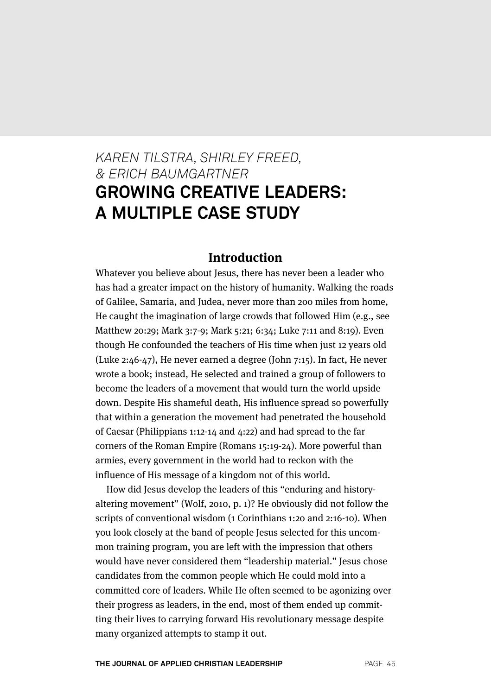# *KAREN TILSTRA, SHIRLEY FREED, & ERICH BAUMGARTNER* **GROWING CREATIVE LEADERS: A MULTIPLE CASE STUDY**

#### **Introduction**

Whatever you believe about Jesus, there has never been a leader who has had a greater impact on the history of humanity. Walking the roads of Galilee, Samaria, and Judea, never more than 200 miles from home, He caught the imagination of large crowds that followed Him (e.g., see Matthew 20:29; Mark 3:7-9; Mark 5:21; 6:34; Luke 7:11 and 8:19). Even though He confounded the teachers of His time when just 12 years old (Luke 2:46-47), He never earned a degree (John 7:15). In fact, He never wrote a book; instead, He selected and trained a group of followers to become the leaders of a movement that would turn the world upside down. Despite His shameful death, His influence spread so powerfully that within a generation the movement had penetrated the household of Caesar (Philippians 1:12-14 and 4:22) and had spread to the far corners of the Roman Empire (Romans 15:19-24). More powerful than armies, every government in the world had to reckon with the influence of His message of a kingdom not of this world.

How did Jesus develop the leaders of this "enduring and historyaltering movement" (Wolf, 2010, p. 1)? He obviously did not follow the scripts of conventional wisdom (1 Corinthians 1:20 and 2:16-10). When you look closely at the band of people Jesus selected for this uncommon training program, you are left with the impression that others would have never considered them "leadership material." Jesus chose candidates from the common people which He could mold into a committed core of leaders. While He often seemed to be agonizing over their progress as leaders, in the end, most of them ended up committing their lives to carrying forward His revolutionary message despite many organized attempts to stamp it out.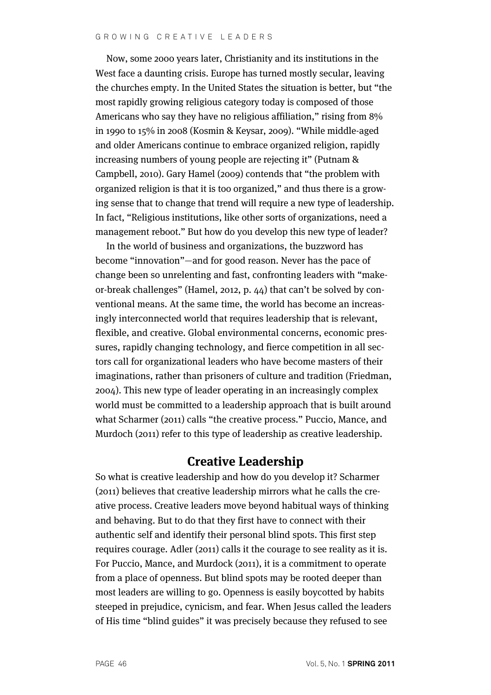Now, some 2000 years later, Christianity and its institutions in the West face a daunting crisis. Europe has turned mostly secular, leaving the churches empty. In the United States the situation is better, but "the most rapidly growing religious category today is composed of those Americans who say they have no religious affiliation," rising from 8% in 1990 to 15% in 2008 (Kosmin & Keysar, 2009). "While middle-aged and older Americans continue to embrace organized religion, rapidly increasing numbers of young people are rejecting it" (Putnam & Campbell, 2010). Gary Hamel (2009) contends that "the problem with organized religion is that it is too organized," and thus there is a growing sense that to change that trend will require a new type of leadership. In fact, "Religious institutions, like other sorts of organizations, need a management reboot." But how do you develop this new type of leader?

In the world of business and organizations, the buzzword has become "innovation"—and for good reason. Never has the pace of change been so unrelenting and fast, confronting leaders with "makeor-break challenges" (Hamel, 2012, p. 44) that can't be solved by conventional means. At the same time, the world has become an increasingly interconnected world that requires leadership that is relevant, flexible, and creative. Global environmental concerns, economic pressures, rapidly changing technology, and fierce competition in all sectors call for organizational leaders who have become masters of their imaginations, rather than prisoners of culture and tradition (Friedman, 2004). This new type of leader operating in an increasingly complex world must be committed to a leadership approach that is built around what Scharmer (2011) calls "the creative process." Puccio, Mance, and Murdoch (2011) refer to this type of leadership as creative leadership.

# **Creative Leadership**

So what is creative leadership and how do you develop it? Scharmer (2011) believes that creative leadership mirrors what he calls the creative process. Creative leaders move beyond habitual ways of thinking and behaving. But to do that they first have to connect with their authentic self and identify their personal blind spots. This first step requires courage. Adler (2011) calls it the courage to see reality as it is. For Puccio, Mance, and Murdock (2011), it is a commitment to operate from a place of openness. But blind spots may be rooted deeper than most leaders are willing to go. Openness is easily boycotted by habits steeped in prejudice, cynicism, and fear. When Jesus called the leaders of His time "blind guides" it was precisely because they refused to see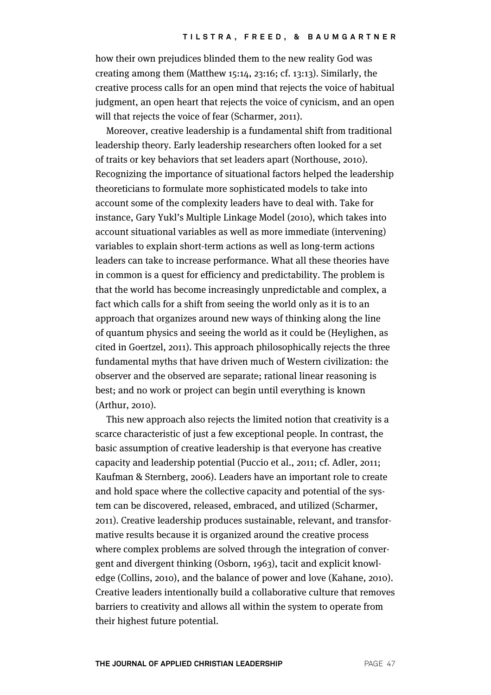how their own prejudices blinded them to the new reality God was creating among them (Matthew 15:14, 23:16; cf. 13:13). Similarly, the creative process calls for an open mind that rejects the voice of habitual judgment, an open heart that rejects the voice of cynicism, and an open will that rejects the voice of fear (Scharmer, 2011).

Moreover, creative leadership is a fundamental shift from traditional leadership theory. Early leadership researchers often looked for a set of traits or key behaviors that set leaders apart (Northouse, 2010). Recognizing the importance of situational factors helped the leadership theoreticians to formulate more sophisticated models to take into account some of the complexity leaders have to deal with. Take for instance, Gary Yukl's Multiple Linkage Model (2010), which takes into account situational variables as well as more immediate (intervening) variables to explain short-term actions as well as long-term actions leaders can take to increase performance. What all these theories have in common is a quest for efficiency and predictability. The problem is that the world has become increasingly unpredictable and complex, a fact which calls for a shift from seeing the world only as it is to an approach that organizes around new ways of thinking along the line of quantum physics and seeing the world as it could be (Heylighen, as cited in Goertzel, 2011). This approach philosophically rejects the three fundamental myths that have driven much of Western civilization: the observer and the observed are separate; rational linear reasoning is best; and no work or project can begin until everything is known (Arthur, 2010).

This new approach also rejects the limited notion that creativity is a scarce characteristic of just a few exceptional people. In contrast, the basic assumption of creative leadership is that everyone has creative capacity and leadership potential (Puccio et al., 2011; cf. Adler, 2011; Kaufman & Sternberg, 2006). Leaders have an important role to create and hold space where the collective capacity and potential of the system can be discovered, released, embraced, and utilized (Scharmer, 2011). Creative leadership produces sustainable, relevant, and transformative results because it is organized around the creative process where complex problems are solved through the integration of convergent and divergent thinking (Osborn, 1963), tacit and explicit knowledge (Collins, 2010), and the balance of power and love (Kahane, 2010). Creative leaders intentionally build a collaborative culture that removes barriers to creativity and allows all within the system to operate from their highest future potential.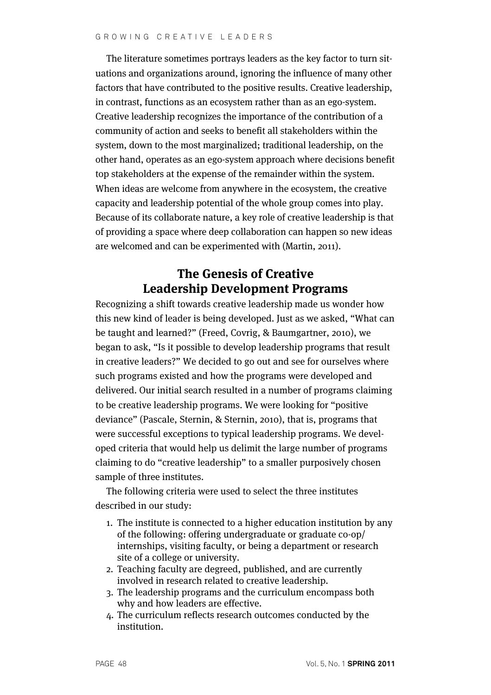The literature sometimes portrays leaders as the key factor to turn situations and organizations around, ignoring the influence of many other factors that have contributed to the positive results. Creative leadership, in contrast, functions as an ecosystem rather than as an ego-system. Creative leadership recognizes the importance of the contribution of a community of action and seeks to benefit all stakeholders within the system, down to the most marginalized; traditional leadership, on the other hand, operates as an ego-system approach where decisions benefit top stakeholders at the expense of the remainder within the system. When ideas are welcome from anywhere in the ecosystem, the creative capacity and leadership potential of the whole group comes into play. Because of its collaborate nature, a key role of creative leadership is that of providing a space where deep collaboration can happen so new ideas are welcomed and can be experimented with (Martin, 2011).

# **The Genesis of Creative Leadership Development Programs**

Recognizing a shift towards creative leadership made us wonder how this new kind of leader is being developed. Just as we asked, "What can be taught and learned?" (Freed, Covrig, & Baumgartner, 2010), we began to ask, "Is it possible to develop leadership programs that result in creative leaders?" We decided to go out and see for ourselves where such programs existed and how the programs were developed and delivered. Our initial search resulted in a number of programs claiming to be creative leadership programs. We were looking for "positive deviance" (Pascale, Sternin, & Sternin, 2010), that is, programs that were successful exceptions to typical leadership programs. We developed criteria that would help us delimit the large number of programs claiming to do "creative leadership" to a smaller purposively chosen sample of three institutes.

The following criteria were used to select the three institutes described in our study:

- 1. The institute is connected to a higher education institution by any of the following: offering undergraduate or graduate co-op/ internships, visiting faculty, or being a department or research site of a college or university.
- 2. Teaching faculty are degreed, published, and are currently involved in research related to creative leadership.
- 3. The leadership programs and the curriculum encompass both why and how leaders are effective.
- 4. The curriculum reflects research outcomes conducted by the institution.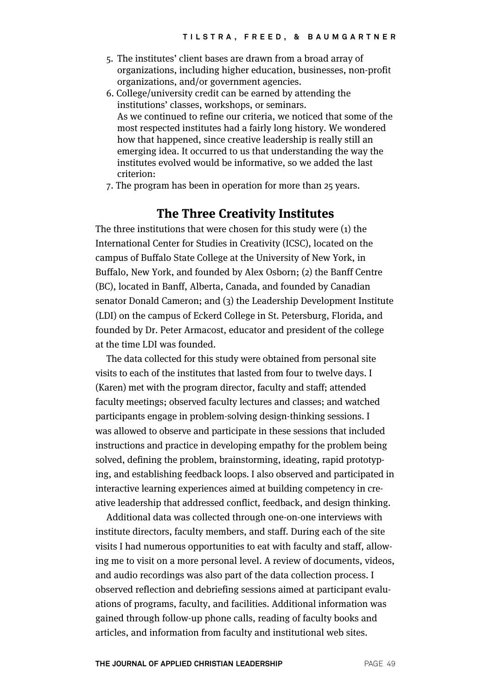- 5. The institutes' client bases are drawn from a broad array of organizations, including higher education, businesses, non-profit organizations, and/or government agencies.
- 6. College/university credit can be earned by attending the institutions' classes, workshops, or seminars. As we continued to refine our criteria, we noticed that some of the most respected institutes had a fairly long history. We wondered how that happened, since creative leadership is really still an emerging idea. It occurred to us that understanding the way the institutes evolved would be informative, so we added the last criterion:
- 7. The program has been in operation for more than 25 years.

### **The Three Creativity Institutes**

The three institutions that were chosen for this study were (1) the International Center for Studies in Creativity (ICSC), located on the campus of Buffalo State College at the University of New York, in Buffalo, New York, and founded by Alex Osborn; (2) the Banff Centre (BC), located in Banff, Alberta, Canada, and founded by Canadian senator Donald Cameron; and (3) the Leadership Development Institute (LDI) on the campus of Eckerd College in St. Petersburg, Florida, and founded by Dr. Peter Armacost, educator and president of the college at the time LDI was founded.

The data collected for this study were obtained from personal site visits to each of the institutes that lasted from four to twelve days. I (Karen) met with the program director, faculty and staff; attended faculty meetings; observed faculty lectures and classes; and watched participants engage in problem-solving design-thinking sessions. I was allowed to observe and participate in these sessions that included instructions and practice in developing empathy for the problem being solved, defining the problem, brainstorming, ideating, rapid prototyping, and establishing feedback loops. I also observed and participated in interactive learning experiences aimed at building competency in creative leadership that addressed conflict, feedback, and design thinking.

Additional data was collected through one-on-one interviews with institute directors, faculty members, and staff. During each of the site visits I had numerous opportunities to eat with faculty and staff, allowing me to visit on a more personal level. A review of documents, videos, and audio recordings was also part of the data collection process. I observed reflection and debriefing sessions aimed at participant evaluations of programs, faculty, and facilities. Additional information was gained through follow-up phone calls, reading of faculty books and articles, and information from faculty and institutional web sites.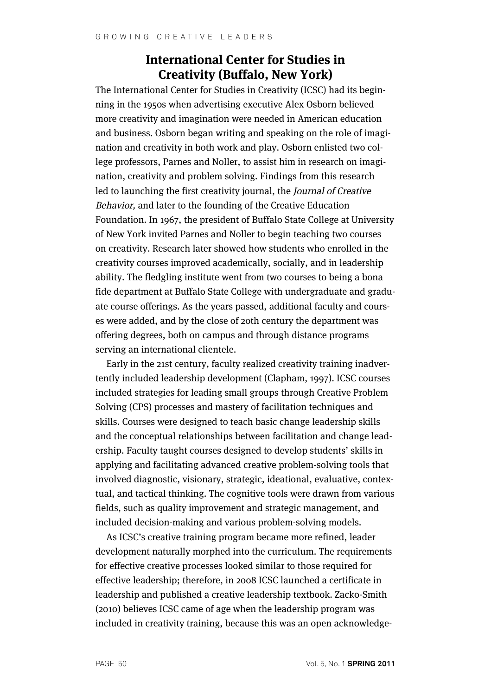### **International Center for Studies in Creativity (Buffalo, New York)**

The International Center for Studies in Creativity (ICSC) had its beginning in the 1950s when advertising executive Alex Osborn believed more creativity and imagination were needed in American education and business. Osborn began writing and speaking on the role of imagination and creativity in both work and play. Osborn enlisted two college professors, Parnes and Noller, to assist him in research on imagination, creativity and problem solving. Findings from this research led to launching the first creativity journal, the Journal of Creative Behavior, and later to the founding of the Creative Education Foundation. In 1967, the president of Buffalo State College at University of New York invited Parnes and Noller to begin teaching two courses on creativity. Research later showed how students who enrolled in the creativity courses improved academically, socially, and in leadership ability. The fledgling institute went from two courses to being a bona fide department at Buffalo State College with undergraduate and graduate course offerings. As the years passed, additional faculty and courses were added, and by the close of 20th century the department was offering degrees, both on campus and through distance programs serving an international clientele.

Early in the 21st century, faculty realized creativity training inadvertently included leadership development (Clapham, 1997). ICSC courses included strategies for leading small groups through Creative Problem Solving (CPS) processes and mastery of facilitation techniques and skills. Courses were designed to teach basic change leadership skills and the conceptual relationships between facilitation and change leadership. Faculty taught courses designed to develop students' skills in applying and facilitating advanced creative problem-solving tools that involved diagnostic, visionary, strategic, ideational, evaluative, contextual, and tactical thinking. The cognitive tools were drawn from various fields, such as quality improvement and strategic management, and included decision-making and various problem-solving models.

As ICSC's creative training program became more refined, leader development naturally morphed into the curriculum. The requirements for effective creative processes looked similar to those required for effective leadership; therefore, in 2008 ICSC launched a certificate in leadership and published a creative leadership textbook. Zacko-Smith (2010) believes ICSC came of age when the leadership program was included in creativity training, because this was an open acknowledge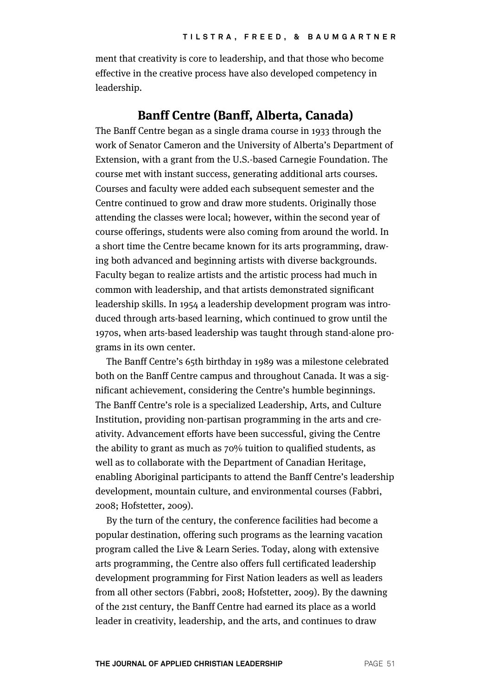ment that creativity is core to leadership, and that those who become effective in the creative process have also developed competency in leadership.

#### **Banff Centre (Banff, Alberta, Canada)**

The Banff Centre began as a single drama course in 1933 through the work of Senator Cameron and the University of Alberta's Department of Extension, with a grant from the U.S.-based Carnegie Foundation. The course met with instant success, generating additional arts courses. Courses and faculty were added each subsequent semester and the Centre continued to grow and draw more students. Originally those attending the classes were local; however, within the second year of course offerings, students were also coming from around the world. In a short time the Centre became known for its arts programming, drawing both advanced and beginning artists with diverse backgrounds. Faculty began to realize artists and the artistic process had much in common with leadership, and that artists demonstrated significant leadership skills. In 1954 a leadership development program was introduced through arts-based learning, which continued to grow until the 1970s, when arts-based leadership was taught through stand-alone programs in its own center.

The Banff Centre's 65th birthday in 1989 was a milestone celebrated both on the Banff Centre campus and throughout Canada. It was a significant achievement, considering the Centre's humble beginnings. The Banff Centre's role is a specialized Leadership, Arts, and Culture Institution, providing non-partisan programming in the arts and creativity. Advancement efforts have been successful, giving the Centre the ability to grant as much as 70% tuition to qualified students, as well as to collaborate with the Department of Canadian Heritage, enabling Aboriginal participants to attend the Banff Centre's leadership development, mountain culture, and environmental courses (Fabbri, 2008; Hofstetter, 2009).

By the turn of the century, the conference facilities had become a popular destination, offering such programs as the learning vacation program called the Live & Learn Series. Today, along with extensive arts programming, the Centre also offers full certificated leadership development programming for First Nation leaders as well as leaders from all other sectors (Fabbri, 2008; Hofstetter, 2009). By the dawning of the 21st century, the Banff Centre had earned its place as a world leader in creativity, leadership, and the arts, and continues to draw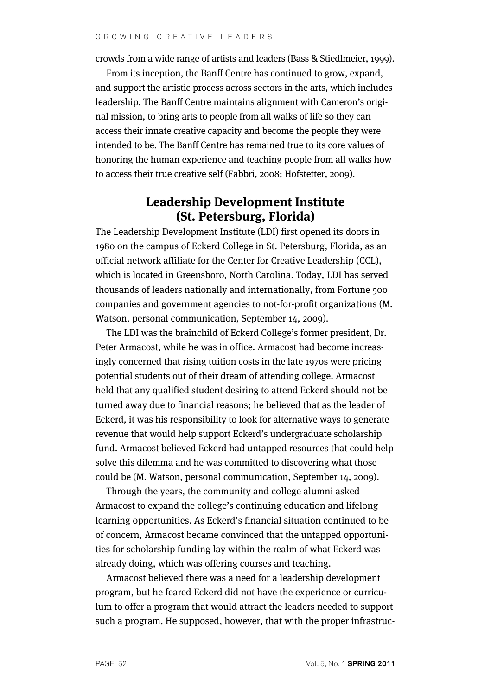crowds from a wide range of artists and leaders (Bass & Stiedlmeier, 1999).

From its inception, the Banff Centre has continued to grow, expand, and support the artistic process across sectors in the arts, which includes leadership. The Banff Centre maintains alignment with Cameron's original mission, to bring arts to people from all walks of life so they can access their innate creative capacity and become the people they were intended to be. The Banff Centre has remained true to its core values of honoring the human experience and teaching people from all walks how to access their true creative self (Fabbri, 2008; Hofstetter, 2009).

### **Leadership Development Institute (St. Petersburg, Florida)**

The Leadership Development Institute (LDI) first opened its doors in 1980 on the campus of Eckerd College in St. Petersburg, Florida, as an official network affiliate for the Center for Creative Leadership (CCL), which is located in Greensboro, North Carolina. Today, LDI has served thousands of leaders nationally and internationally, from Fortune 500 companies and government agencies to not-for-profit organizations (M. Watson, personal communication, September 14, 2009).

The LDI was the brainchild of Eckerd College's former president, Dr. Peter Armacost, while he was in office. Armacost had become increasingly concerned that rising tuition costs in the late 1970s were pricing potential students out of their dream of attending college. Armacost held that any qualified student desiring to attend Eckerd should not be turned away due to financial reasons; he believed that as the leader of Eckerd, it was his responsibility to look for alternative ways to generate revenue that would help support Eckerd's undergraduate scholarship fund. Armacost believed Eckerd had untapped resources that could help solve this dilemma and he was committed to discovering what those could be (M. Watson, personal communication, September 14, 2009).

Through the years, the community and college alumni asked Armacost to expand the college's continuing education and lifelong learning opportunities. As Eckerd's financial situation continued to be of concern, Armacost became convinced that the untapped opportunities for scholarship funding lay within the realm of what Eckerd was already doing, which was offering courses and teaching.

Armacost believed there was a need for a leadership development program, but he feared Eckerd did not have the experience or curriculum to offer a program that would attract the leaders needed to support such a program. He supposed, however, that with the proper infrastruc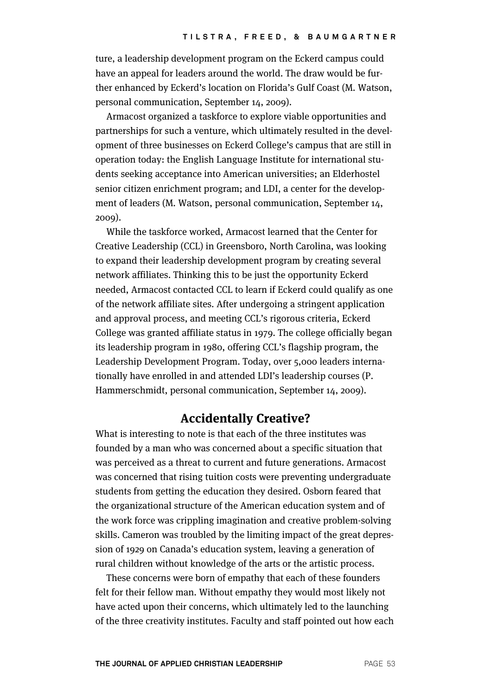ture, a leadership development program on the Eckerd campus could have an appeal for leaders around the world. The draw would be further enhanced by Eckerd's location on Florida's Gulf Coast (M. Watson, personal communication, September 14, 2009).

Armacost organized a taskforce to explore viable opportunities and partnerships for such a venture, which ultimately resulted in the development of three businesses on Eckerd College's campus that are still in operation today: the English Language Institute for international students seeking acceptance into American universities; an Elderhostel senior citizen enrichment program; and LDI, a center for the development of leaders (M. Watson, personal communication, September 14, 2009).

While the taskforce worked, Armacost learned that the Center for Creative Leadership (CCL) in Greensboro, North Carolina, was looking to expand their leadership development program by creating several network affiliates. Thinking this to be just the opportunity Eckerd needed, Armacost contacted CCL to learn if Eckerd could qualify as one of the network affiliate sites. After undergoing a stringent application and approval process, and meeting CCL's rigorous criteria, Eckerd College was granted affiliate status in 1979. The college officially began its leadership program in 1980, offering CCL's flagship program, the Leadership Development Program. Today, over 5,000 leaders internationally have enrolled in and attended LDI's leadership courses (P. Hammerschmidt, personal communication, September 14, 2009).

# **Accidentally Creative?**

What is interesting to note is that each of the three institutes was founded by a man who was concerned about a specific situation that was perceived as a threat to current and future generations. Armacost was concerned that rising tuition costs were preventing undergraduate students from getting the education they desired. Osborn feared that the organizational structure of the American education system and of the work force was crippling imagination and creative problem-solving skills. Cameron was troubled by the limiting impact of the great depression of 1929 on Canada's education system, leaving a generation of rural children without knowledge of the arts or the artistic process.

These concerns were born of empathy that each of these founders felt for their fellow man. Without empathy they would most likely not have acted upon their concerns, which ultimately led to the launching of the three creativity institutes. Faculty and staff pointed out how each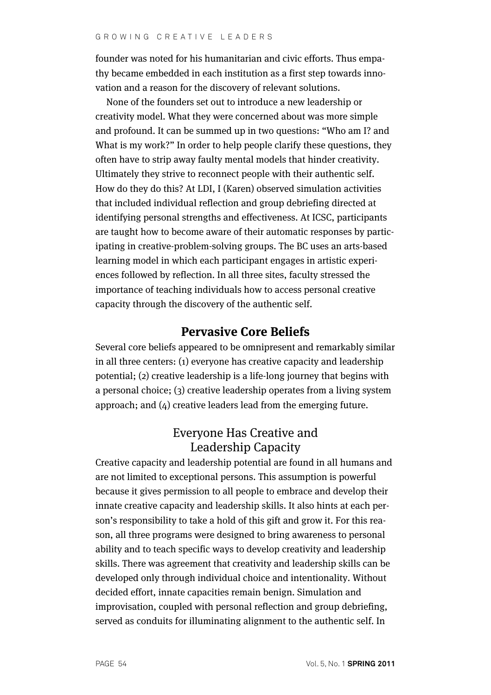founder was noted for his humanitarian and civic efforts. Thus empathy became embedded in each institution as a first step towards innovation and a reason for the discovery of relevant solutions.

None of the founders set out to introduce a new leadership or creativity model. What they were concerned about was more simple and profound. It can be summed up in two questions: "Who am I? and What is my work?" In order to help people clarify these questions, they often have to strip away faulty mental models that hinder creativity. Ultimately they strive to reconnect people with their authentic self. How do they do this? At LDI, I (Karen) observed simulation activities that included individual reflection and group debriefing directed at identifying personal strengths and effectiveness. At ICSC, participants are taught how to become aware of their automatic responses by participating in creative-problem-solving groups. The BC uses an arts-based learning model in which each participant engages in artistic experiences followed by reflection. In all three sites, faculty stressed the importance of teaching individuals how to access personal creative capacity through the discovery of the authentic self.

#### **Pervasive Core Beliefs**

Several core beliefs appeared to be omnipresent and remarkably similar in all three centers: (1) everyone has creative capacity and leadership potential; (2) creative leadership is a life-long journey that begins with a personal choice; (3) creative leadership operates from a living system approach; and (4) creative leaders lead from the emerging future.

# Everyone Has Creative and Leadership Capacity

Creative capacity and leadership potential are found in all humans and are not limited to exceptional persons. This assumption is powerful because it gives permission to all people to embrace and develop their innate creative capacity and leadership skills. It also hints at each person's responsibility to take a hold of this gift and grow it. For this reason, all three programs were designed to bring awareness to personal ability and to teach specific ways to develop creativity and leadership skills. There was agreement that creativity and leadership skills can be developed only through individual choice and intentionality. Without decided effort, innate capacities remain benign. Simulation and improvisation, coupled with personal reflection and group debriefing, served as conduits for illuminating alignment to the authentic self. In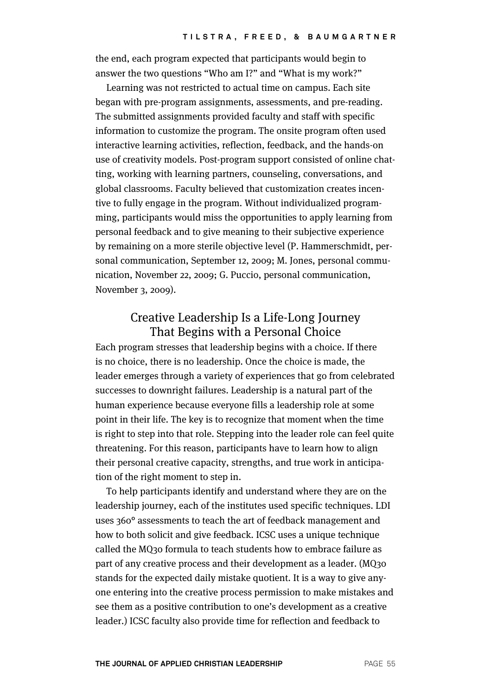the end, each program expected that participants would begin to answer the two questions "Who am I?" and "What is my work?"

Learning was not restricted to actual time on campus. Each site began with pre-program assignments, assessments, and pre-reading. The submitted assignments provided faculty and staff with specific information to customize the program. The onsite program often used interactive learning activities, reflection, feedback, and the hands-on use of creativity models. Post-program support consisted of online chatting, working with learning partners, counseling, conversations, and global classrooms. Faculty believed that customization creates incentive to fully engage in the program. Without individualized programming, participants would miss the opportunities to apply learning from personal feedback and to give meaning to their subjective experience by remaining on a more sterile objective level (P. Hammerschmidt, personal communication, September 12, 2009; M. Jones, personal communication, November 22, 2009; G. Puccio, personal communication, November 3, 2009).

#### Creative Leadership Is a Life-Long Journey That Begins with a Personal Choice

Each program stresses that leadership begins with a choice. If there is no choice, there is no leadership. Once the choice is made, the leader emerges through a variety of experiences that go from celebrated successes to downright failures. Leadership is a natural part of the human experience because everyone fills a leadership role at some point in their life. The key is to recognize that moment when the time is right to step into that role. Stepping into the leader role can feel quite threatening. For this reason, participants have to learn how to align their personal creative capacity, strengths, and true work in anticipation of the right moment to step in.

To help participants identify and understand where they are on the leadership journey, each of the institutes used specific techniques. LDI uses 360° assessments to teach the art of feedback management and how to both solicit and give feedback. ICSC uses a unique technique called the MQ30 formula to teach students how to embrace failure as part of any creative process and their development as a leader. (MQ30 stands for the expected daily mistake quotient. It is a way to give anyone entering into the creative process permission to make mistakes and see them as a positive contribution to one's development as a creative leader.) ICSC faculty also provide time for reflection and feedback to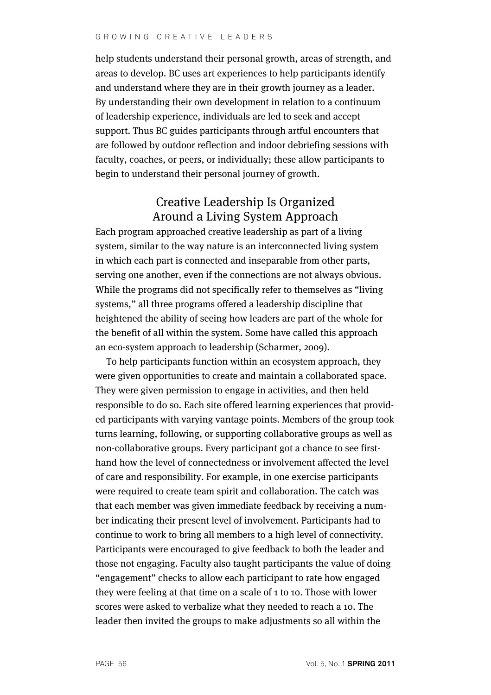help students understand their personal growth, areas of strength, and areas to develop. BC uses art experiences to help participants identify and understand where they are in their growth journey as a leader. By understanding their own development in relation to a continuum of leadership experience, individuals are led to seek and accept support. Thus BC guides participants through artful encounters that are followed by outdoor reflection and indoor debriefing sessions with faculty, coaches, or peers, or individually; these allow participants to begin to understand their personal journey of growth.

# Creative Leadership Is Organized Around a Living System Approach

Each program approached creative leadership as part of a living system, similar to the way nature is an interconnected living system in which each part is connected and inseparable from other parts, serving one another, even if the connections are not always obvious. While the programs did not specifically refer to themselves as "living systems," all three programs offered a leadership discipline that heightened the ability of seeing how leaders are part of the whole for the benefit of all within the system. Some have called this approach an eco-system approach to leadership (Scharmer, 2009).

To help participants function within an ecosystem approach, they were given opportunities to create and maintain a collaborated space. They were given permission to engage in activities, and then held responsible to do so. Each site offered learning experiences that provided participants with varying vantage points. Members of the group took turns learning, following, or supporting collaborative groups as well as non-collaborative groups. Every participant got a chance to see firsthand how the level of connectedness or involvement affected the level of care and responsibility. For example, in one exercise participants were required to create team spirit and collaboration. The catch was that each member was given immediate feedback by receiving a number indicating their present level of involvement. Participants had to continue to work to bring all members to a high level of connectivity. Participants were encouraged to give feedback to both the leader and those not engaging. Faculty also taught participants the value of doing "engagement" checks to allow each participant to rate how engaged they were feeling at that time on a scale of 1 to 10. Those with lower scores were asked to verbalize what they needed to reach a 10. The leader then invited the groups to make adjustments so all within the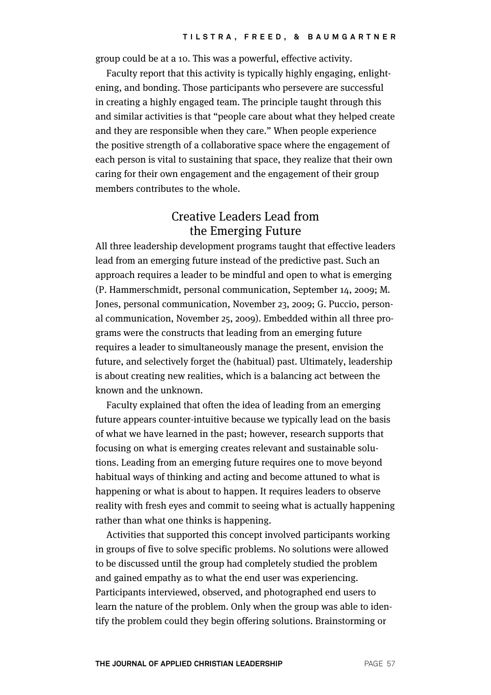group could be at a 10. This was a powerful, effective activity.

Faculty report that this activity is typically highly engaging, enlightening, and bonding. Those participants who persevere are successful in creating a highly engaged team. The principle taught through this and similar activities is that "people care about what they helped create and they are responsible when they care." When people experience the positive strength of a collaborative space where the engagement of each person is vital to sustaining that space, they realize that their own caring for their own engagement and the engagement of their group members contributes to the whole.

# Creative Leaders Lead from the Emerging Future

All three leadership development programs taught that effective leaders lead from an emerging future instead of the predictive past. Such an approach requires a leader to be mindful and open to what is emerging (P. Hammerschmidt, personal communication, September 14, 2009; M. Jones, personal communication, November 23, 2009; G. Puccio, personal communication, November 25, 2009). Embedded within all three programs were the constructs that leading from an emerging future requires a leader to simultaneously manage the present, envision the future, and selectively forget the (habitual) past. Ultimately, leadership is about creating new realities, which is a balancing act between the known and the unknown.

Faculty explained that often the idea of leading from an emerging future appears counter-intuitive because we typically lead on the basis of what we have learned in the past; however, research supports that focusing on what is emerging creates relevant and sustainable solutions. Leading from an emerging future requires one to move beyond habitual ways of thinking and acting and become attuned to what is happening or what is about to happen. It requires leaders to observe reality with fresh eyes and commit to seeing what is actually happening rather than what one thinks is happening.

Activities that supported this concept involved participants working in groups of five to solve specific problems. No solutions were allowed to be discussed until the group had completely studied the problem and gained empathy as to what the end user was experiencing. Participants interviewed, observed, and photographed end users to learn the nature of the problem. Only when the group was able to identify the problem could they begin offering solutions. Brainstorming or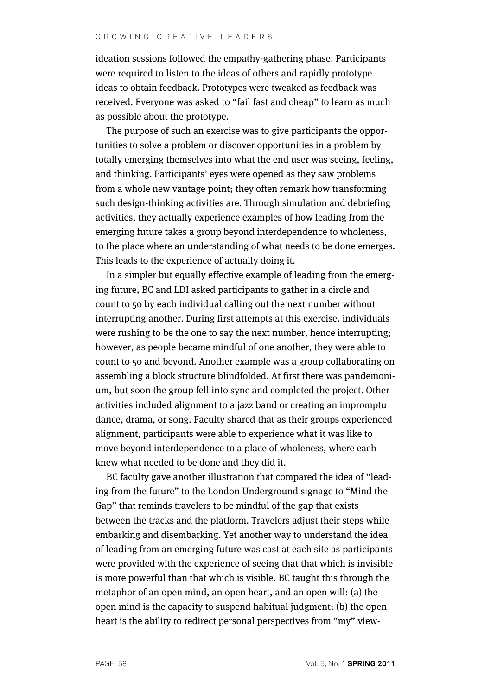#### GROWING CREATIVE LEADERS

ideation sessions followed the empathy-gathering phase. Participants were required to listen to the ideas of others and rapidly prototype ideas to obtain feedback. Prototypes were tweaked as feedback was received. Everyone was asked to "fail fast and cheap" to learn as much as possible about the prototype.

The purpose of such an exercise was to give participants the opportunities to solve a problem or discover opportunities in a problem by totally emerging themselves into what the end user was seeing, feeling, and thinking. Participants' eyes were opened as they saw problems from a whole new vantage point; they often remark how transforming such design-thinking activities are. Through simulation and debriefing activities, they actually experience examples of how leading from the emerging future takes a group beyond interdependence to wholeness, to the place where an understanding of what needs to be done emerges. This leads to the experience of actually doing it.

In a simpler but equally effective example of leading from the emerging future, BC and LDI asked participants to gather in a circle and count to 50 by each individual calling out the next number without interrupting another. During first attempts at this exercise, individuals were rushing to be the one to say the next number, hence interrupting; however, as people became mindful of one another, they were able to count to 50 and beyond. Another example was a group collaborating on assembling a block structure blindfolded. At first there was pandemonium, but soon the group fell into sync and completed the project. Other activities included alignment to a jazz band or creating an impromptu dance, drama, or song. Faculty shared that as their groups experienced alignment, participants were able to experience what it was like to move beyond interdependence to a place of wholeness, where each knew what needed to be done and they did it.

BC faculty gave another illustration that compared the idea of "leading from the future" to the London Underground signage to "Mind the Gap" that reminds travelers to be mindful of the gap that exists between the tracks and the platform. Travelers adjust their steps while embarking and disembarking. Yet another way to understand the idea of leading from an emerging future was cast at each site as participants were provided with the experience of seeing that that which is invisible is more powerful than that which is visible. BC taught this through the metaphor of an open mind, an open heart, and an open will: (a) the open mind is the capacity to suspend habitual judgment; (b) the open heart is the ability to redirect personal perspectives from "my" view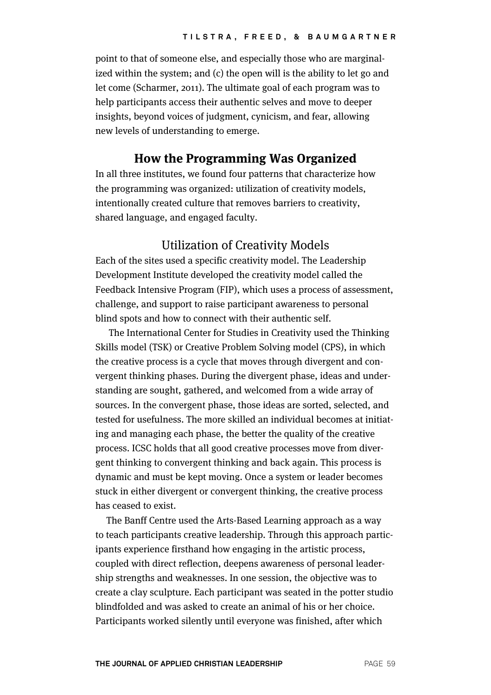point to that of someone else, and especially those who are marginalized within the system; and (c) the open will is the ability to let go and let come (Scharmer, 2011). The ultimate goal of each program was to help participants access their authentic selves and move to deeper insights, beyond voices of judgment, cynicism, and fear, allowing new levels of understanding to emerge.

#### **How the Programming Was Organized**

In all three institutes, we found four patterns that characterize how the programming was organized: utilization of creativity models, intentionally created culture that removes barriers to creativity, shared language, and engaged faculty.

#### Utilization of Creativity Models

Each of the sites used a specific creativity model. The Leadership Development Institute developed the creativity model called the Feedback Intensive Program (FIP), which uses a process of assessment, challenge, and support to raise participant awareness to personal blind spots and how to connect with their authentic self.

The International Center for Studies in Creativity used the Thinking Skills model (TSK) or Creative Problem Solving model (CPS), in which the creative process is a cycle that moves through divergent and convergent thinking phases. During the divergent phase, ideas and understanding are sought, gathered, and welcomed from a wide array of sources. In the convergent phase, those ideas are sorted, selected, and tested for usefulness. The more skilled an individual becomes at initiating and managing each phase, the better the quality of the creative process. ICSC holds that all good creative processes move from divergent thinking to convergent thinking and back again. This process is dynamic and must be kept moving. Once a system or leader becomes stuck in either divergent or convergent thinking, the creative process has ceased to exist.

The Banff Centre used the Arts-Based Learning approach as a way to teach participants creative leadership. Through this approach participants experience firsthand how engaging in the artistic process, coupled with direct reflection, deepens awareness of personal leadership strengths and weaknesses. In one session, the objective was to create a clay sculpture. Each participant was seated in the potter studio blindfolded and was asked to create an animal of his or her choice. Participants worked silently until everyone was finished, after which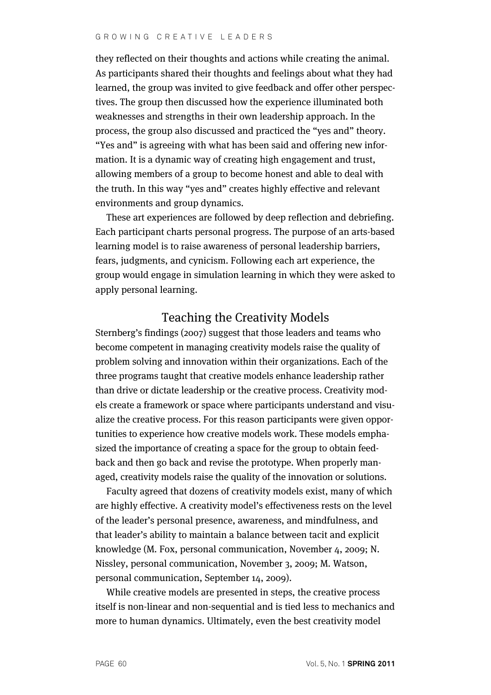they reflected on their thoughts and actions while creating the animal. As participants shared their thoughts and feelings about what they had learned, the group was invited to give feedback and offer other perspectives. The group then discussed how the experience illuminated both weaknesses and strengths in their own leadership approach. In the process, the group also discussed and practiced the "yes and" theory. "Yes and" is agreeing with what has been said and offering new information. It is a dynamic way of creating high engagement and trust, allowing members of a group to become honest and able to deal with the truth. In this way "yes and" creates highly effective and relevant environments and group dynamics.

These art experiences are followed by deep reflection and debriefing. Each participant charts personal progress. The purpose of an arts-based learning model is to raise awareness of personal leadership barriers, fears, judgments, and cynicism. Following each art experience, the group would engage in simulation learning in which they were asked to apply personal learning.

#### Teaching the Creativity Models

Sternberg's findings (2007) suggest that those leaders and teams who become competent in managing creativity models raise the quality of problem solving and innovation within their organizations. Each of the three programs taught that creative models enhance leadership rather than drive or dictate leadership or the creative process. Creativity models create a framework or space where participants understand and visualize the creative process. For this reason participants were given opportunities to experience how creative models work. These models emphasized the importance of creating a space for the group to obtain feedback and then go back and revise the prototype. When properly managed, creativity models raise the quality of the innovation or solutions.

Faculty agreed that dozens of creativity models exist, many of which are highly effective. A creativity model's effectiveness rests on the level of the leader's personal presence, awareness, and mindfulness, and that leader's ability to maintain a balance between tacit and explicit knowledge (M. Fox, personal communication, November 4, 2009; N. Nissley, personal communication, November 3, 2009; M. Watson, personal communication, September 14, 2009).

While creative models are presented in steps, the creative process itself is non-linear and non-sequential and is tied less to mechanics and more to human dynamics. Ultimately, even the best creativity model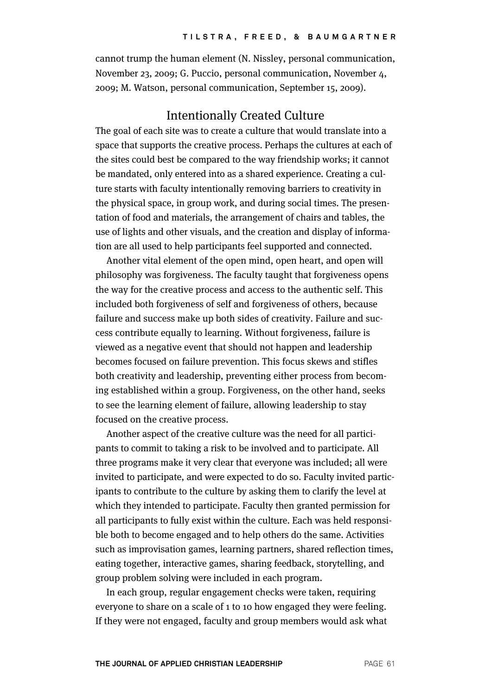cannot trump the human element (N. Nissley, personal communication, November 23, 2009; G. Puccio, personal communication, November 4, 2009; M. Watson, personal communication, September 15, 2009).

### Intentionally Created Culture

The goal of each site was to create a culture that would translate into a space that supports the creative process. Perhaps the cultures at each of the sites could best be compared to the way friendship works; it cannot be mandated, only entered into as a shared experience. Creating a culture starts with faculty intentionally removing barriers to creativity in the physical space, in group work, and during social times. The presentation of food and materials, the arrangement of chairs and tables, the use of lights and other visuals, and the creation and display of information are all used to help participants feel supported and connected.

Another vital element of the open mind, open heart, and open will philosophy was forgiveness. The faculty taught that forgiveness opens the way for the creative process and access to the authentic self. This included both forgiveness of self and forgiveness of others, because failure and success make up both sides of creativity. Failure and success contribute equally to learning. Without forgiveness, failure is viewed as a negative event that should not happen and leadership becomes focused on failure prevention. This focus skews and stifles both creativity and leadership, preventing either process from becoming established within a group. Forgiveness, on the other hand, seeks to see the learning element of failure, allowing leadership to stay focused on the creative process.

Another aspect of the creative culture was the need for all participants to commit to taking a risk to be involved and to participate. All three programs make it very clear that everyone was included; all were invited to participate, and were expected to do so. Faculty invited participants to contribute to the culture by asking them to clarify the level at which they intended to participate. Faculty then granted permission for all participants to fully exist within the culture. Each was held responsible both to become engaged and to help others do the same. Activities such as improvisation games, learning partners, shared reflection times, eating together, interactive games, sharing feedback, storytelling, and group problem solving were included in each program.

In each group, regular engagement checks were taken, requiring everyone to share on a scale of 1 to 10 how engaged they were feeling. If they were not engaged, faculty and group members would ask what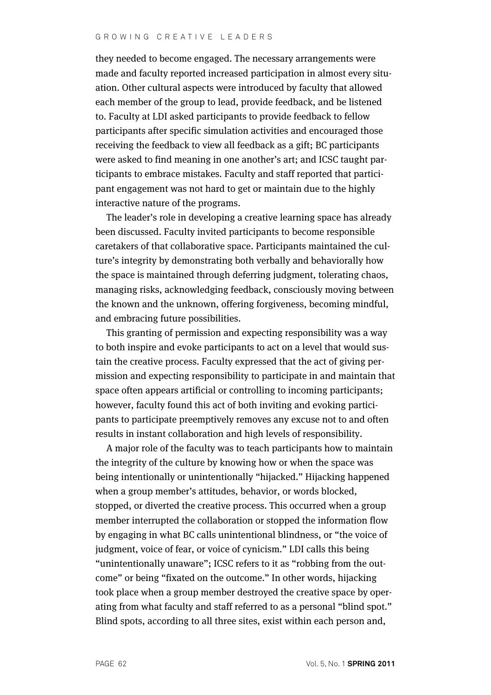they needed to become engaged. The necessary arrangements were made and faculty reported increased participation in almost every situation. Other cultural aspects were introduced by faculty that allowed each member of the group to lead, provide feedback, and be listened to. Faculty at LDI asked participants to provide feedback to fellow participants after specific simulation activities and encouraged those receiving the feedback to view all feedback as a gift; BC participants were asked to find meaning in one another's art; and ICSC taught participants to embrace mistakes. Faculty and staff reported that participant engagement was not hard to get or maintain due to the highly interactive nature of the programs.

The leader's role in developing a creative learning space has already been discussed. Faculty invited participants to become responsible caretakers of that collaborative space. Participants maintained the culture's integrity by demonstrating both verbally and behaviorally how the space is maintained through deferring judgment, tolerating chaos, managing risks, acknowledging feedback, consciously moving between the known and the unknown, offering forgiveness, becoming mindful, and embracing future possibilities.

This granting of permission and expecting responsibility was a way to both inspire and evoke participants to act on a level that would sustain the creative process. Faculty expressed that the act of giving permission and expecting responsibility to participate in and maintain that space often appears artificial or controlling to incoming participants; however, faculty found this act of both inviting and evoking participants to participate preemptively removes any excuse not to and often results in instant collaboration and high levels of responsibility.

A major role of the faculty was to teach participants how to maintain the integrity of the culture by knowing how or when the space was being intentionally or unintentionally "hijacked." Hijacking happened when a group member's attitudes, behavior, or words blocked, stopped, or diverted the creative process. This occurred when a group member interrupted the collaboration or stopped the information flow by engaging in what BC calls unintentional blindness, or "the voice of judgment, voice of fear, or voice of cynicism." LDI calls this being "unintentionally unaware"; ICSC refers to it as "robbing from the outcome" or being "fixated on the outcome." In other words, hijacking took place when a group member destroyed the creative space by operating from what faculty and staff referred to as a personal "blind spot." Blind spots, according to all three sites, exist within each person and,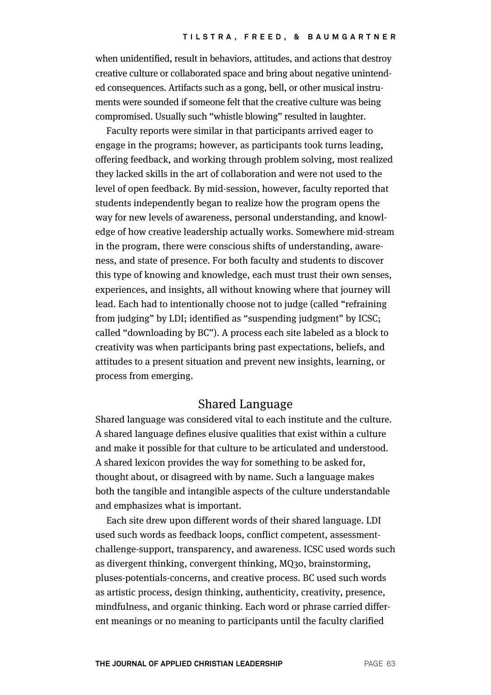when unidentified, result in behaviors, attitudes, and actions that destroy creative culture or collaborated space and bring about negative unintended consequences. Artifacts such as a gong, bell, or other musical instruments were sounded if someone felt that the creative culture was being compromised. Usually such "whistle blowing" resulted in laughter.

Faculty reports were similar in that participants arrived eager to engage in the programs; however, as participants took turns leading, offering feedback, and working through problem solving, most realized they lacked skills in the art of collaboration and were not used to the level of open feedback. By mid-session, however, faculty reported that students independently began to realize how the program opens the way for new levels of awareness, personal understanding, and knowledge of how creative leadership actually works. Somewhere mid-stream in the program, there were conscious shifts of understanding, awareness, and state of presence. For both faculty and students to discover this type of knowing and knowledge, each must trust their own senses, experiences, and insights, all without knowing where that journey will lead. Each had to intentionally choose not to judge (called "refraining from judging" by LDI; identified as "suspending judgment" by ICSC; called "downloading by BC"). A process each site labeled as a block to creativity was when participants bring past expectations, beliefs, and attitudes to a present situation and prevent new insights, learning, or process from emerging.

#### Shared Language

Shared language was considered vital to each institute and the culture. A shared language defines elusive qualities that exist within a culture and make it possible for that culture to be articulated and understood. A shared lexicon provides the way for something to be asked for, thought about, or disagreed with by name. Such a language makes both the tangible and intangible aspects of the culture understandable and emphasizes what is important.

Each site drew upon different words of their shared language. LDI used such words as feedback loops, conflict competent, assessmentchallenge-support, transparency, and awareness. ICSC used words such as divergent thinking, convergent thinking, MQ30, brainstorming, pluses-potentials-concerns, and creative process. BC used such words as artistic process, design thinking, authenticity, creativity, presence, mindfulness, and organic thinking. Each word or phrase carried different meanings or no meaning to participants until the faculty clarified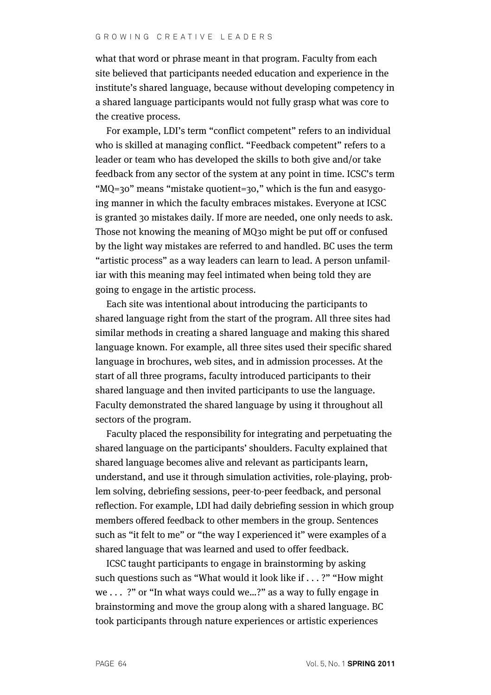#### GROWING CREATIVE LEADERS

what that word or phrase meant in that program. Faculty from each site believed that participants needed education and experience in the institute's shared language, because without developing competency in a shared language participants would not fully grasp what was core to the creative process.

For example, LDI's term "conflict competent" refers to an individual who is skilled at managing conflict. "Feedback competent" refers to a leader or team who has developed the skills to both give and/or take feedback from any sector of the system at any point in time. ICSC's term "MQ=30" means "mistake quotient=30," which is the fun and easygoing manner in which the faculty embraces mistakes. Everyone at ICSC is granted 30 mistakes daily. If more are needed, one only needs to ask. Those not knowing the meaning of MQ30 might be put off or confused by the light way mistakes are referred to and handled. BC uses the term "artistic process" as a way leaders can learn to lead. A person unfamiliar with this meaning may feel intimated when being told they are going to engage in the artistic process.

Each site was intentional about introducing the participants to shared language right from the start of the program. All three sites had similar methods in creating a shared language and making this shared language known. For example, all three sites used their specific shared language in brochures, web sites, and in admission processes. At the start of all three programs, faculty introduced participants to their shared language and then invited participants to use the language. Faculty demonstrated the shared language by using it throughout all sectors of the program.

Faculty placed the responsibility for integrating and perpetuating the shared language on the participants' shoulders. Faculty explained that shared language becomes alive and relevant as participants learn, understand, and use it through simulation activities, role-playing, problem solving, debriefing sessions, peer-to-peer feedback, and personal reflection. For example, LDI had daily debriefing session in which group members offered feedback to other members in the group. Sentences such as "it felt to me" or "the way I experienced it" were examples of a shared language that was learned and used to offer feedback.

ICSC taught participants to engage in brainstorming by asking such questions such as "What would it look like if . . . ?" "How might we . . . ?" or "In what ways could we…?" as a way to fully engage in brainstorming and move the group along with a shared language. BC took participants through nature experiences or artistic experiences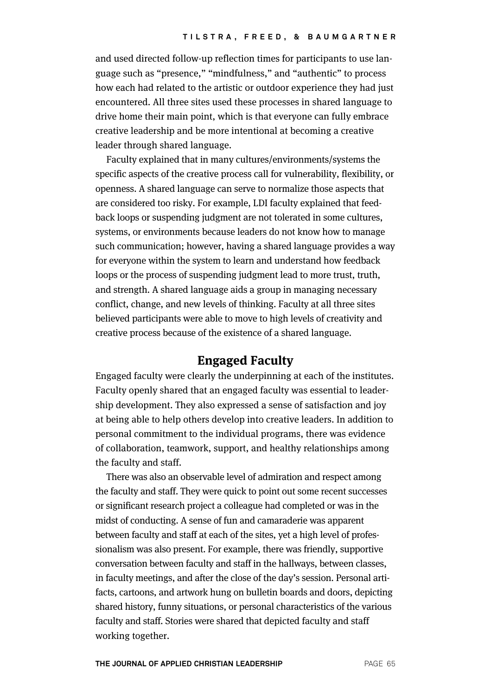and used directed follow-up reflection times for participants to use language such as "presence," "mindfulness," and "authentic" to process how each had related to the artistic or outdoor experience they had just encountered. All three sites used these processes in shared language to drive home their main point, which is that everyone can fully embrace creative leadership and be more intentional at becoming a creative leader through shared language.

Faculty explained that in many cultures/environments/systems the specific aspects of the creative process call for vulnerability, flexibility, or openness. A shared language can serve to normalize those aspects that are considered too risky. For example, LDI faculty explained that feedback loops or suspending judgment are not tolerated in some cultures, systems, or environments because leaders do not know how to manage such communication; however, having a shared language provides a way for everyone within the system to learn and understand how feedback loops or the process of suspending judgment lead to more trust, truth, and strength. A shared language aids a group in managing necessary conflict, change, and new levels of thinking. Faculty at all three sites believed participants were able to move to high levels of creativity and creative process because of the existence of a shared language.

### **Engaged Faculty**

Engaged faculty were clearly the underpinning at each of the institutes. Faculty openly shared that an engaged faculty was essential to leadership development. They also expressed a sense of satisfaction and joy at being able to help others develop into creative leaders. In addition to personal commitment to the individual programs, there was evidence of collaboration, teamwork, support, and healthy relationships among the faculty and staff.

There was also an observable level of admiration and respect among the faculty and staff. They were quick to point out some recent successes or significant research project a colleague had completed or was in the midst of conducting. A sense of fun and camaraderie was apparent between faculty and staff at each of the sites, yet a high level of professionalism was also present. For example, there was friendly, supportive conversation between faculty and staff in the hallways, between classes, in faculty meetings, and after the close of the day's session. Personal artifacts, cartoons, and artwork hung on bulletin boards and doors, depicting shared history, funny situations, or personal characteristics of the various faculty and staff. Stories were shared that depicted faculty and staff working together.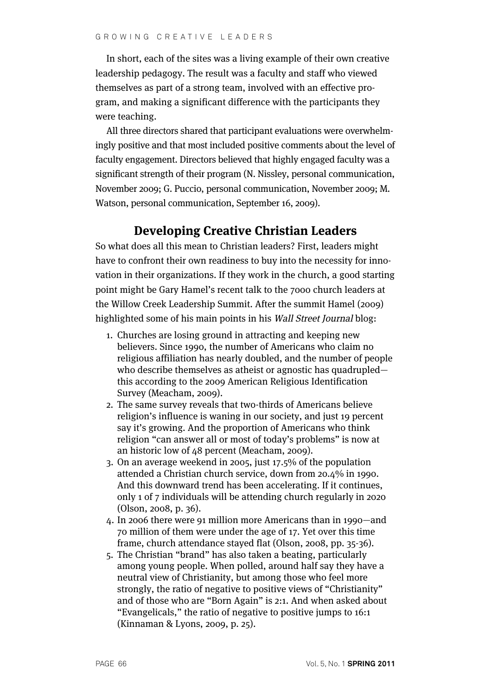In short, each of the sites was a living example of their own creative leadership pedagogy. The result was a faculty and staff who viewed themselves as part of a strong team, involved with an effective program, and making a significant difference with the participants they were teaching.

All three directors shared that participant evaluations were overwhelmingly positive and that most included positive comments about the level of faculty engagement. Directors believed that highly engaged faculty was a significant strength of their program (N. Nissley, personal communication, November 2009; G. Puccio, personal communication, November 2009; M. Watson, personal communication, September 16, 2009).

# **Developing Creative Christian Leaders**

So what does all this mean to Christian leaders? First, leaders might have to confront their own readiness to buy into the necessity for innovation in their organizations. If they work in the church, a good starting point might be Gary Hamel's recent talk to the 7000 church leaders at the Willow Creek Leadership Summit. After the summit Hamel (2009) highlighted some of his main points in his Wall Street Journal blog:

- 1. Churches are losing ground in attracting and keeping new believers. Since 1990, the number of Americans who claim no religious affiliation has nearly doubled, and the number of people who describe themselves as atheist or agnostic has quadrupled this according to the 2009 American Religious Identification Survey (Meacham, 2009).
- 2. The same survey reveals that two-thirds of Americans believe religion's influence is waning in our society, and just 19 percent say it's growing. And the proportion of Americans who think religion "can answer all or most of today's problems" is now at an historic low of 48 percent (Meacham, 2009).
- 3. On an average weekend in 2005, just 17.5% of the population attended a Christian church service, down from 20.4% in 1990. And this downward trend has been accelerating. If it continues, only 1 of 7 individuals will be attending church regularly in 2020 (Olson, 2008, p. 36).
- 4. In 2006 there were 91 million more Americans than in 1990—and 70 million of them were under the age of 17. Yet over this time frame, church attendance stayed flat (Olson, 2008, pp. 35-36).
- 5. The Christian "brand" has also taken a beating, particularly among young people. When polled, around half say they have a neutral view of Christianity, but among those who feel more strongly, the ratio of negative to positive views of "Christianity" and of those who are "Born Again" is 2:1. And when asked about "Evangelicals," the ratio of negative to positive jumps to 16:1 (Kinnaman & Lyons, 2009, p. 25).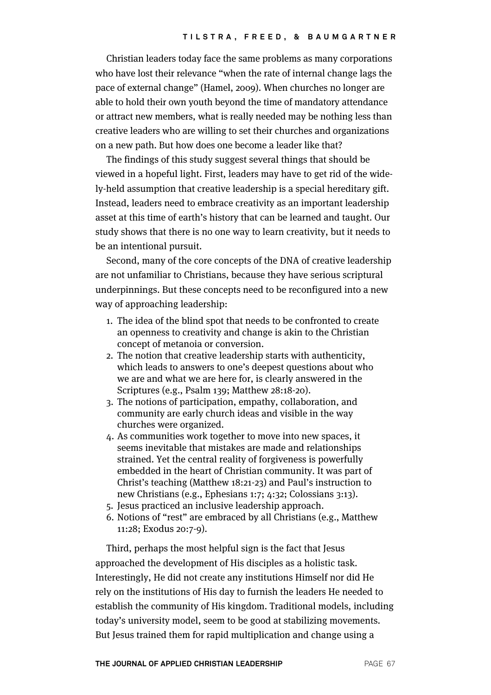Christian leaders today face the same problems as many corporations who have lost their relevance "when the rate of internal change lags the pace of external change" (Hamel, 2009). When churches no longer are able to hold their own youth beyond the time of mandatory attendance or attract new members, what is really needed may be nothing less than creative leaders who are willing to set their churches and organizations on a new path. But how does one become a leader like that?

The findings of this study suggest several things that should be viewed in a hopeful light. First, leaders may have to get rid of the widely-held assumption that creative leadership is a special hereditary gift. Instead, leaders need to embrace creativity as an important leadership asset at this time of earth's history that can be learned and taught. Our study shows that there is no one way to learn creativity, but it needs to be an intentional pursuit.

Second, many of the core concepts of the DNA of creative leadership are not unfamiliar to Christians, because they have serious scriptural underpinnings. But these concepts need to be reconfigured into a new way of approaching leadership:

- 1. The idea of the blind spot that needs to be confronted to create an openness to creativity and change is akin to the Christian concept of metanoia or conversion.
- 2. The notion that creative leadership starts with authenticity, which leads to answers to one's deepest questions about who we are and what we are here for, is clearly answered in the Scriptures (e.g., Psalm 139; Matthew 28:18-20).
- 3. The notions of participation, empathy, collaboration, and community are early church ideas and visible in the way churches were organized.
- 4. As communities work together to move into new spaces, it seems inevitable that mistakes are made and relationships strained. Yet the central reality of forgiveness is powerfully embedded in the heart of Christian community. It was part of Christ's teaching (Matthew 18:21-23) and Paul's instruction to new Christians (e.g., Ephesians 1:7; 4:32; Colossians 3:13).
- 5. Jesus practiced an inclusive leadership approach.
- 6. Notions of "rest" are embraced by all Christians (e.g., Matthew 11:28; Exodus 20:7-9).

Third, perhaps the most helpful sign is the fact that Jesus approached the development of His disciples as a holistic task. Interestingly, He did not create any institutions Himself nor did He rely on the institutions of His day to furnish the leaders He needed to establish the community of His kingdom. Traditional models, including today's university model, seem to be good at stabilizing movements. But Jesus trained them for rapid multiplication and change using a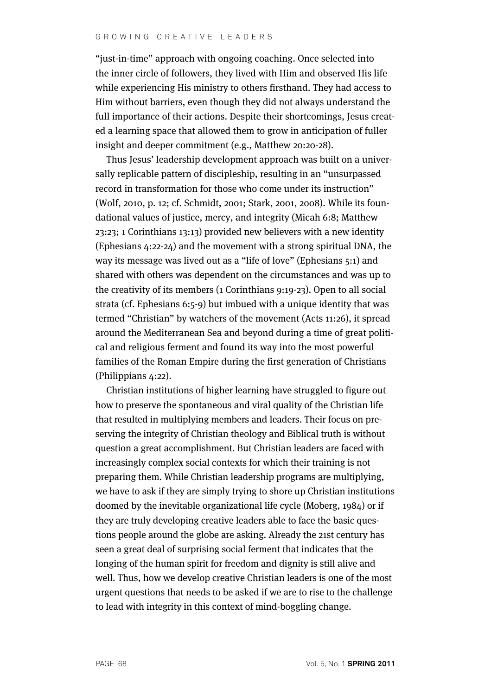"just-in-time" approach with ongoing coaching. Once selected into the inner circle of followers, they lived with Him and observed His life while experiencing His ministry to others firsthand. They had access to Him without barriers, even though they did not always understand the full importance of their actions. Despite their shortcomings, Jesus created a learning space that allowed them to grow in anticipation of fuller insight and deeper commitment (e.g., Matthew 20:20-28).

Thus Jesus' leadership development approach was built on a universally replicable pattern of discipleship, resulting in an "unsurpassed record in transformation for those who come under its instruction" (Wolf, 2010, p. 12; cf. Schmidt, 2001; Stark, 2001, 2008). While its foundational values of justice, mercy, and integrity (Micah 6:8; Matthew 23:23; 1 Corinthians 13:13) provided new believers with a new identity (Ephesians 4:22-24) and the movement with a strong spiritual DNA, the way its message was lived out as a "life of love" (Ephesians 5:1) and shared with others was dependent on the circumstances and was up to the creativity of its members (1 Corinthians 9:19-23). Open to all social strata (cf. Ephesians 6:5-9) but imbued with a unique identity that was termed "Christian" by watchers of the movement (Acts 11:26), it spread around the Mediterranean Sea and beyond during a time of great political and religious ferment and found its way into the most powerful families of the Roman Empire during the first generation of Christians (Philippians 4:22).

Christian institutions of higher learning have struggled to figure out how to preserve the spontaneous and viral quality of the Christian life that resulted in multiplying members and leaders. Their focus on preserving the integrity of Christian theology and Biblical truth is without question a great accomplishment. But Christian leaders are faced with increasingly complex social contexts for which their training is not preparing them. While Christian leadership programs are multiplying, we have to ask if they are simply trying to shore up Christian institutions doomed by the inevitable organizational life cycle (Moberg, 1984) or if they are truly developing creative leaders able to face the basic questions people around the globe are asking. Already the 21st century has seen a great deal of surprising social ferment that indicates that the longing of the human spirit for freedom and dignity is still alive and well. Thus, how we develop creative Christian leaders is one of the most urgent questions that needs to be asked if we are to rise to the challenge to lead with integrity in this context of mind-boggling change.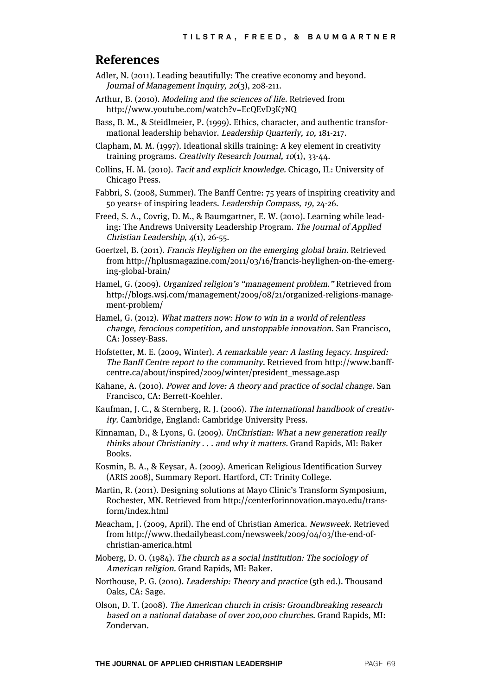#### **References**

- Adler, N. (2011). Leading beautifully: The creative economy and beyond. Journal of Management Inquiry, 20(3), 208-211.
- Arthur, B. (2010). Modeling and the sciences of life. Retrieved from http://www.youtube.com/watch?v=EcQEvD3K7NQ
- Bass, B. M., & Steidlmeier, P. (1999). Ethics, character, and authentic transformational leadership behavior. Leadership Quarterly, 10, 181-217.
- Clapham, M. M. (1997). Ideational skills training: A key element in creativity training programs. Creativity Research Journal, 10(1), 33-44.
- Collins, H. M. (2010). Tacit and explicit knowledge. Chicago, IL: University of Chicago Press.
- Fabbri, S. (2008, Summer). The Banff Centre: 75 years of inspiring creativity and 50 years+ of inspiring leaders. Leadership Compass, 19, 24-26.
- Freed, S. A., Covrig, D. M., & Baumgartner, E. W. (2010). Learning while leading: The Andrews University Leadership Program. The Journal of Applied Christian Leadership, 4(1), 26-55.
- Goertzel, B. (2011). Francis Heylighen on the emerging global brain. Retrieved from http://hplusmagazine.com/2011/03/16/francis-heylighen-on-the-emerging-global-brain/
- Hamel, G. (2009). Organized religion's "management problem." Retrieved from http://blogs.wsj.com/management/2009/08/21/organized-religions-management-problem/
- Hamel, G. (2012). What matters now: How to win in a world of relentless change, ferocious competition, and unstoppable innovation. San Francisco, CA: Jossey-Bass.
- Hofstetter, M. E. (2009, Winter). A remarkable year: A lasting legacy. Inspired: The Banff Centre report to the community. Retrieved from http://www.banffcentre.ca/about/inspired/2009/winter/president\_message.asp
- Kahane, A. (2010). Power and love: A theory and practice of social change. San Francisco, CA: Berrett-Koehler.
- Kaufman, J. C., & Sternberg, R. J. (2006). The international handbook of creativity. Cambridge, England: Cambridge University Press.
- Kinnaman, D., & Lyons, G. (2009). UnChristian: What a new generation really thinks about Christianity . . . and why it matters. Grand Rapids, MI: Baker Books.
- Kosmin, B. A., & Keysar, A. (2009). American Religious Identification Survey (ARIS 2008), Summary Report. Hartford, CT: Trinity College.
- Martin, R. (2011). Designing solutions at Mayo Clinic's Transform Symposium, Rochester, MN. Retrieved from http://centerforinnovation.mayo.edu/transform/index.html
- Meacham, J. (2009, April). The end of Christian America. Newsweek. Retrieved from http://www.thedailybeast.com/newsweek/2009/04/03/the-end-ofchristian-america.html
- Moberg, D. O. (1984). The church as a social institution: The sociology of American religion. Grand Rapids, MI: Baker.
- Northouse, P. G. (2010). Leadership: Theory and practice (5th ed.). Thousand Oaks, CA: Sage.
- Olson, D. T. (2008). The American church in crisis: Groundbreaking research based on a national database of over 200,000 churches. Grand Rapids, MI: Zondervan.